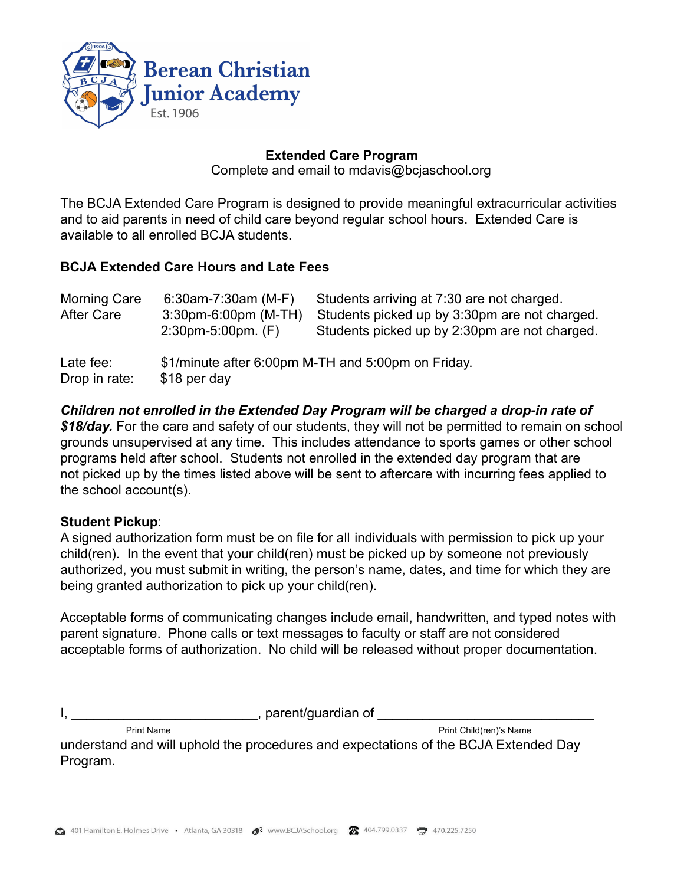

# **Extended Care Program**

Complete and email to mdavis@bcjaschool.org

The BCJA Extended Care Program is designed to provide meaningful extracurricular activities and to aid parents in need of child care beyond regular school hours. Extended Care is available to all enrolled BCJA students.

# **BCJA Extended Care Hours and Late Fees**

| Morning Care<br>After Care | 6.30am-7:30am (M-F)<br>3:30pm-6:00pm (M-TH)<br>$2.30$ pm-5:00pm. $(F)$ | Students arriving at 7:30 are not charged.<br>Students picked up by 3:30pm are not charged.<br>Students picked up by 2:30pm are not charged. |
|----------------------------|------------------------------------------------------------------------|----------------------------------------------------------------------------------------------------------------------------------------------|
| Late fee:<br>Drop in rate: | \$18 per day                                                           | \$1/minute after 6:00pm M-TH and 5:00pm on Friday.                                                                                           |

*Children not enrolled in the Extended Day Program will be charged a drop-in rate of \$18/day.* For the care and safety of our students, they will not be permitted to remain on school grounds unsupervised at any time. This includes attendance to sports games or other school programs held after school. Students not enrolled in the extended day program that are not picked up by the times listed above will be sent to aftercare with incurring fees applied to the school account(s).

# **Student Pickup**:

A signed authorization form must be on file for all individuals with permission to pick up your child(ren). In the event that your child(ren) must be picked up by someone not previously authorized, you must submit in writing, the person's name, dates, and time for which they are being granted authorization to pick up your child(ren).

Acceptable forms of communicating changes include email, handwritten, and typed notes with parent signature. Phone calls or text messages to faculty or staff are not considered acceptable forms of authorization. No child will be released without proper documentation.

 $n,$  parent/guardian of

Print Name Print Child(ren)'s Name

understand and will uphold the procedures and expectations of the BCJA Extended Day Program.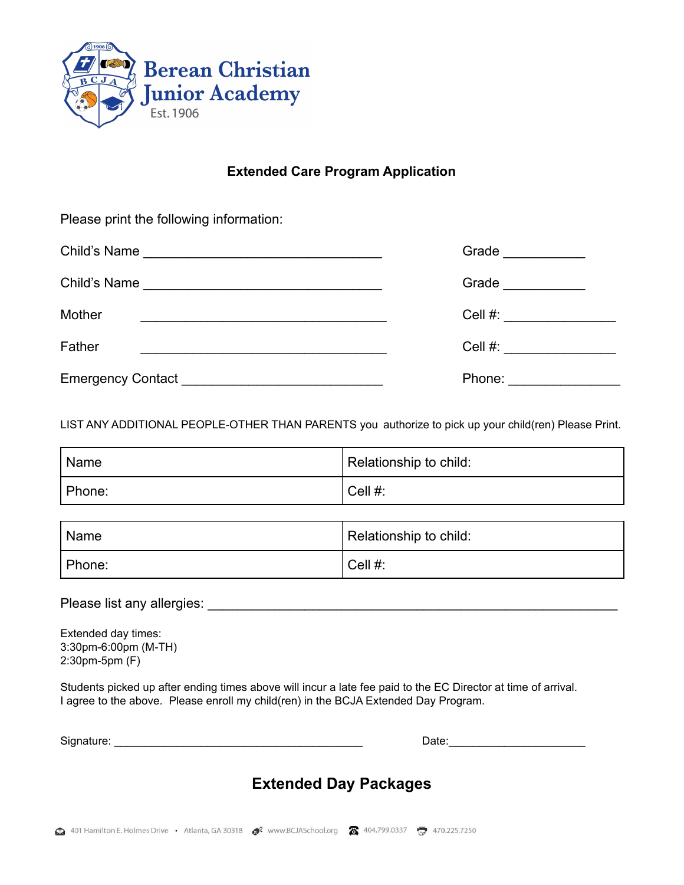

# **Extended Care Program Application**

Please print the following information:

|                                                                       | Grade $\qquad$            |
|-----------------------------------------------------------------------|---------------------------|
|                                                                       | Grade ___________         |
| Mother<br><u> 1989 - Johann Stoff, amerikansk politiker (d. 1989)</u> | Cell #: ________________  |
| Father                                                                | Cell #: _________________ |
|                                                                       | Phone: _________________  |

LIST ANY ADDITIONAL PEOPLE-OTHER THAN PARENTS you authorize to pick up your child(ren) Please Print.

| I Name | Relationship to child: |
|--------|------------------------|
| Phone: | Cell #:                |

| ' Name | Relationship to child: |  |
|--------|------------------------|--|
| Phone: | Cell #:                |  |

Please list any allergies: \_\_\_\_\_\_\_\_\_\_\_\_\_\_\_\_\_\_\_\_\_\_\_\_\_\_\_\_\_\_\_\_\_\_\_\_\_\_\_\_\_\_\_\_\_\_\_\_\_\_\_\_\_\_\_

Extended day times: 3:30pm-6:00pm (M-TH) 2:30pm-5pm (F)

Students picked up after ending times above will incur a late fee paid to the EC Director at time of arrival. I agree to the above. Please enroll my child(ren) in the BCJA Extended Day Program.

Signature: \_\_\_\_\_\_\_\_\_\_\_\_\_\_\_\_\_\_\_\_\_\_\_\_\_\_\_\_\_\_\_\_\_\_\_\_\_\_\_\_ Date:\_\_\_\_\_\_\_\_\_\_\_\_\_\_\_\_\_\_\_\_\_\_

# **Extended Day Packages**